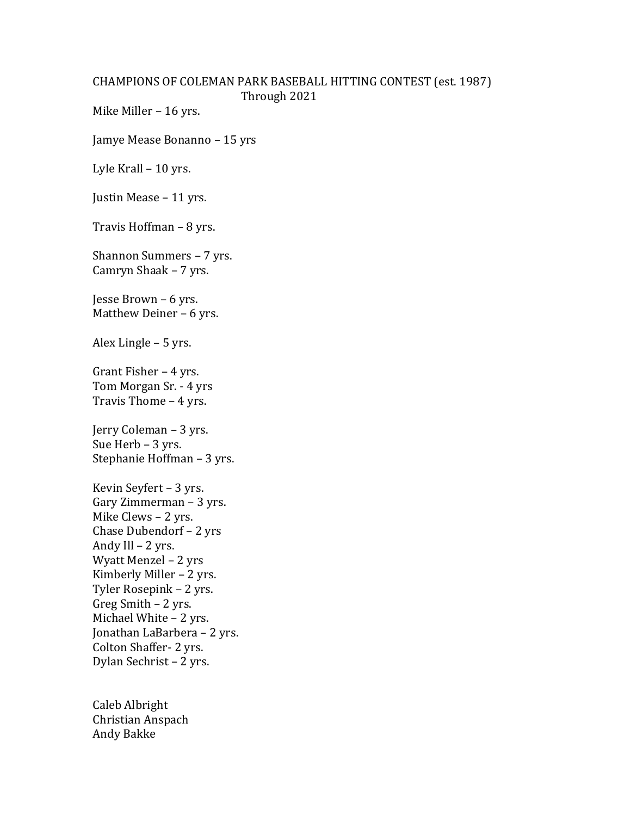## CHAMPIONS OF COLEMAN PARK BASEBALL HITTING CONTEST (est. 1987) Through 2021

Mike Miller – 16 yrs.

Jamye Mease Bonanno – 15 yrs

Lyle Krall – 10 yrs.

Justin Mease – 11 yrs.

Travis Hoffman – 8 yrs.

Shannon Summers – 7 yrs. Camryn Shaak – 7 yrs.

Jesse Brown – 6 yrs. Matthew Deiner – 6 yrs.

Alex Lingle – 5 yrs.

Grant Fisher – 4 yrs. Tom Morgan Sr. - 4 yrs Travis Thome – 4 yrs.

Jerry Coleman – 3 yrs. Sue Herb – 3 yrs. Stephanie Hoffman – 3 yrs.

Kevin Seyfert – 3 yrs. Gary Zimmerman – 3 yrs. Mike Clews – 2 yrs. Chase Dubendorf – 2 yrs Andy Ill – 2 yrs. Wyatt Menzel – 2 yrs Kimberly Miller – 2 yrs. Tyler Rosepink – 2 yrs. Greg Smith – 2 yrs. Michael White – 2 yrs. Jonathan LaBarbera – 2 yrs. Colton Shaffer- 2 yrs. Dylan Sechrist – 2 yrs.

Caleb Albright Christian Anspach Andy Bakke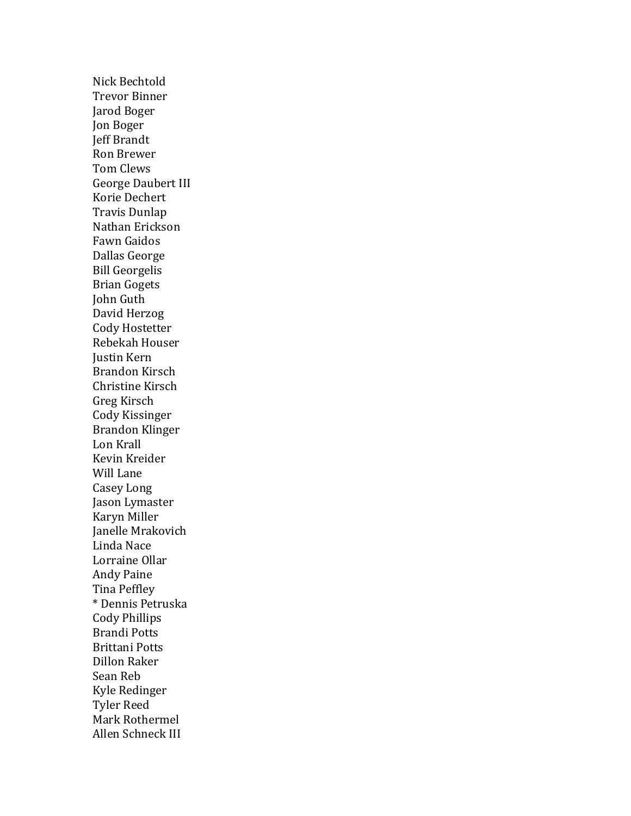Nick Bechtold Trevor Binner Jarod Boger Jon Boger Jeff Brandt Ron Brewer Tom Clews George Daubert III Korie Dechert Travis Dunlap Nathan Erickson Fawn Gaidos Dallas George Bill Georgelis Brian Gogets John Guth David Herzog Cody Hostetter Rebekah Houser Justin Kern Brandon Kirsch Christine Kirsch Greg Kirsch Cody Kissinger Brandon Klinger Lon Krall Kevin Kreider Will Lane Casey Long Jason Lymaster Karyn Miller Janelle Mrakovich Linda Nace Lorraine Ollar Andy Paine Tina Peffley \* Dennis Petruska Cody Phillips Brandi Potts Brittani Potts Dillon Raker Sean Reb Kyle Redinger Tyler Reed Mark Rothermel Allen Schneck III